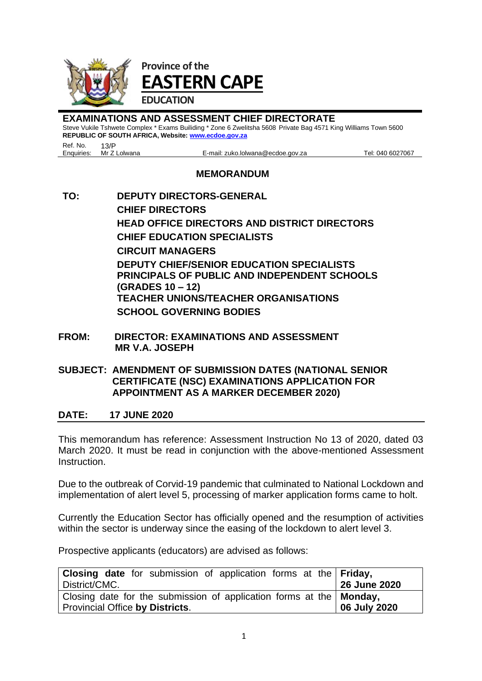

**EXAMINATIONS AND ASSESSMENT CHIEF DIRECTORATE** Steve Vukile Tshwete Complex \* Exams Builiding \* Zone 6 Zwelitsha 5608 Private Bag 4571 King Williams Town 5600 **REPUBLIC OF SOUTH AFRICA, Website[: www.ecdoe.gov.za](http://www.ecdoe.gov.za/)**

Ref. No. 13/P<br>Enquiries: Mr Z Lolwana

E-mail: zuko.lolwana@ecdoe.gov.za Tel: 040 6027067

## **MEMORANDUM**

- **TO: DEPUTY DIRECTORS-GENERAL CHIEF DIRECTORS HEAD OFFICE DIRECTORS AND DISTRICT DIRECTORS CHIEF EDUCATION SPECIALISTS CIRCUIT MANAGERS DEPUTY CHIEF/SENIOR EDUCATION SPECIALISTS PRINCIPALS OF PUBLIC AND INDEPENDENT SCHOOLS (GRADES 10 – 12) TEACHER UNIONS/TEACHER ORGANISATIONS SCHOOL GOVERNING BODIES**
- **FROM: DIRECTOR: EXAMINATIONS AND ASSESSMENT MR V.A. JOSEPH**

## **SUBJECT: AMENDMENT OF SUBMISSION DATES (NATIONAL SENIOR CERTIFICATE (NSC) EXAMINATIONS APPLICATION FOR APPOINTMENT AS A MARKER DECEMBER 2020)**

## **DATE: 17 JUNE 2020**

This memorandum has reference: Assessment Instruction No 13 of 2020, dated 03 March 2020. It must be read in conjunction with the above-mentioned Assessment Instruction.

Due to the outbreak of Corvid-19 pandemic that culminated to National Lockdown and implementation of alert level 5, processing of marker application forms came to holt.

Currently the Education Sector has officially opened and the resumption of activities within the sector is underway since the easing of the lockdown to alert level 3.

Prospective applicants (educators) are advised as follows:

| <b>Closing date</b> for submission of application forms at the <b>Friday</b> , |              |
|--------------------------------------------------------------------------------|--------------|
| District/CMC.                                                                  | 26 June 2020 |
| Closing date for the submission of application forms at the   Monday,          |              |
| Provincial Office by Districts.                                                | 06 July 2020 |